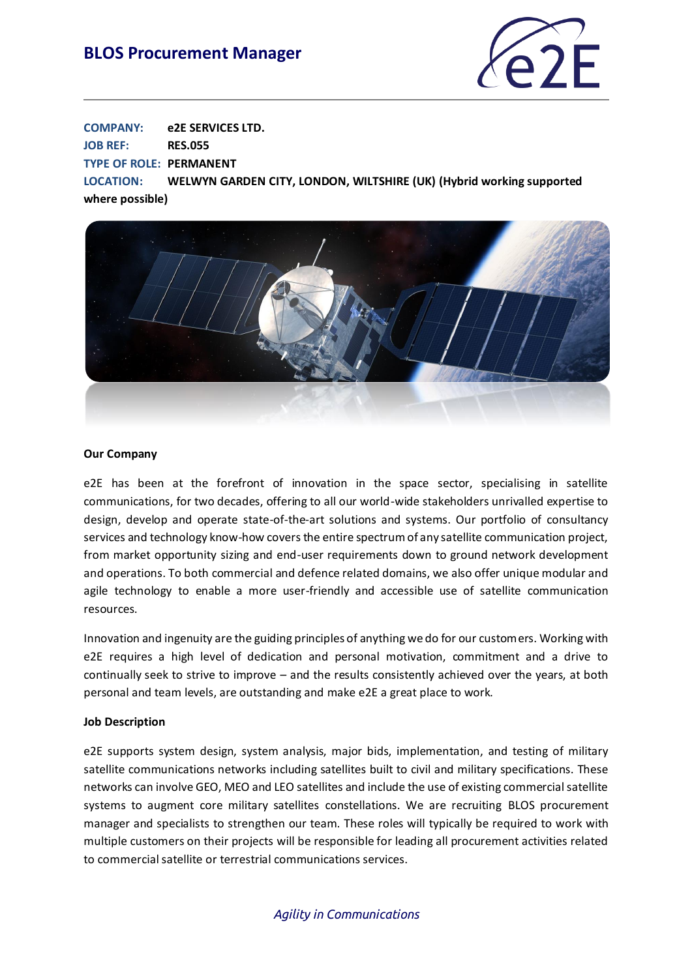## **BLOS Procurement Manager**



**COMPANY: e2E SERVICES LTD. JOB REF: RES.055 TYPE OF ROLE: PERMANENT LOCATION: WELWYN GARDEN CITY, LONDON, WILTSHIRE (UK) (Hybrid working supported** 

**where possible)**



#### **Our Company**

e2E has been at the forefront of innovation in the space sector, specialising in satellite communications, for two decades, offering to all our world-wide stakeholders unrivalled expertise to design, develop and operate state-of-the-art solutions and systems. Our portfolio of consultancy services and technology know-how covers the entire spectrum of any satellite communication project, from market opportunity sizing and end-user requirements down to ground network development and operations. To both commercial and defence related domains, we also offer unique modular and agile technology to enable a more user-friendly and accessible use of satellite communication resources.

Innovation and ingenuity are the guiding principles of anything we do for our customers. Working with e2E requires a high level of dedication and personal motivation, commitment and a drive to continually seek to strive to improve – and the results consistently achieved over the years, at both personal and team levels, are outstanding and make e2E a great place to work.

#### **Job Description**

e2E supports system design, system analysis, major bids, implementation, and testing of military satellite communications networks including satellites built to civil and military specifications. These networks can involve GEO, MEO and LEO satellites and include the use of existing commercial satellite systems to augment core military satellites constellations. We are recruiting BLOS procurement manager and specialists to strengthen our team. These roles will typically be required to work with multiple customers on their projects will be responsible for leading all procurement activities related to commercial satellite or terrestrial communications services.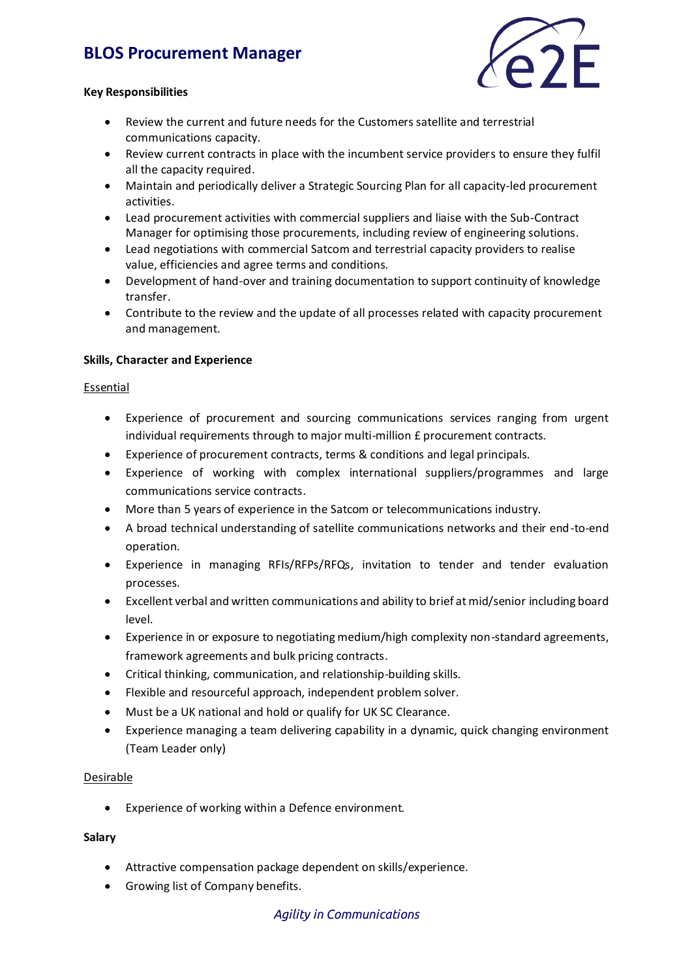# **BLOS Procurement Manager**



### **Key Responsibilities**

- Review the current and future needs for the Customers satellite and terrestrial communications capacity.
- Review current contracts in place with the incumbent service providers to ensure they fulfil all the capacity required.
- Maintain and periodically deliver a Strategic Sourcing Plan for all capacity-led procurement activities.
- Lead procurement activities with commercial suppliers and liaise with the Sub-Contract Manager for optimising those procurements, including review of engineering solutions.
- Lead negotiations with commercial Satcom and terrestrial capacity providers to realise value, efficiencies and agree terms and conditions.
- Development of hand-over and training documentation to support continuity of knowledge transfer.
- Contribute to the review and the update of all processes related with capacity procurement and management.

## **Skills, Character and Experience**

#### Essential

- Experience of procurement and sourcing communications services ranging from urgent individual requirements through to major multi-million £ procurement contracts.
- Experience of procurement contracts, terms & conditions and legal principals.
- Experience of working with complex international suppliers/programmes and large communications service contracts.
- More than 5 years of experience in the Satcom or telecommunications industry.
- A broad technical understanding of satellite communications networks and their end-to-end operation.
- Experience in managing RFIs/RFPs/RFQs, invitation to tender and tender evaluation processes.
- Excellent verbal and written communications and ability to brief at mid/senior including board level.
- Experience in or exposure to negotiating medium/high complexity non-standard agreements, framework agreements and bulk pricing contracts.
- Critical thinking, communication, and relationship-building skills.
- Flexible and resourceful approach, independent problem solver.
- Must be a UK national and hold or qualify for UK SC Clearance.
- Experience managing a team delivering capability in a dynamic, quick changing environment (Team Leader only)

## Desirable

• Experience of working within a Defence environment.

#### **Salary**

- Attractive compensation package dependent on skills/experience.
- Growing list of Company benefits.